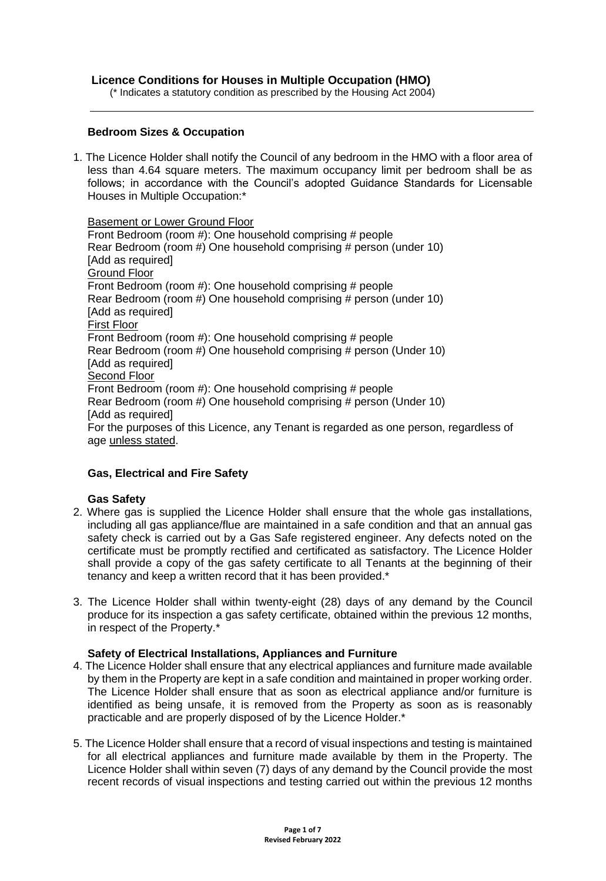## **Licence Conditions for Houses in Multiple Occupation (HMO)**

(\* Indicates a statutory condition as prescribed by the Housing Act 2004)

### **Bedroom Sizes & Occupation**

1. The Licence Holder shall notify the Council of any bedroom in the HMO with a floor area of less than 4.64 square meters. The maximum occupancy limit per bedroom shall be as follows; in accordance with the Council's adopted Guidance Standards for Licensable Houses in Multiple Occupation:\*

Basement or Lower Ground Floor

Front Bedroom (room #): One household comprising # people Rear Bedroom (room #) One household comprising # person (under 10) [Add as required] Ground Floor Front Bedroom (room #): One household comprising # people Rear Bedroom (room #) One household comprising # person (under 10) [Add as required] First Floor Front Bedroom (room #): One household comprising # people Rear Bedroom (room #) One household comprising # person (Under 10) [Add as required] **Second Floor** Front Bedroom (room #): One household comprising # people Rear Bedroom (room #) One household comprising # person (Under 10) [Add as required] For the purposes of this Licence, any Tenant is regarded as one person, regardless of age unless stated.

# **Gas, Electrical and Fire Safety**

#### **Gas Safety**

- 2. Where gas is supplied the Licence Holder shall ensure that the whole gas installations, including all gas appliance/flue are maintained in a safe condition and that an annual gas safety check is carried out by a Gas Safe registered engineer. Any defects noted on the certificate must be promptly rectified and certificated as satisfactory. The Licence Holder shall provide a copy of the gas safety certificate to all Tenants at the beginning of their tenancy and keep a written record that it has been provided.\*
- 3. The Licence Holder shall within twenty-eight (28) days of any demand by the Council produce for its inspection a gas safety certificate, obtained within the previous 12 months, in respect of the Property.\*

#### **Safety of Electrical Installations, Appliances and Furniture**

- 4. The Licence Holder shall ensure that any electrical appliances and furniture made available by them in the Property are kept in a safe condition and maintained in proper working order. The Licence Holder shall ensure that as soon as electrical appliance and/or furniture is identified as being unsafe, it is removed from the Property as soon as is reasonably practicable and are properly disposed of by the Licence Holder.\*
- 5. The Licence Holder shall ensure that a record of visual inspections and testing is maintained for all electrical appliances and furniture made available by them in the Property. The Licence Holder shall within seven (7) days of any demand by the Council provide the most recent records of visual inspections and testing carried out within the previous 12 months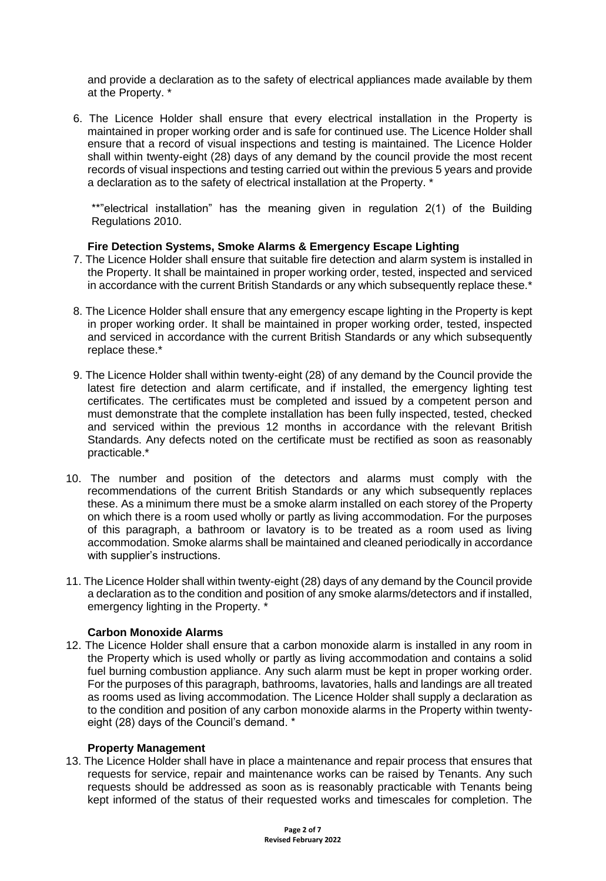and provide a declaration as to the safety of electrical appliances made available by them at the Property. \*

6. The Licence Holder shall ensure that every electrical installation in the Property is maintained in proper working order and is safe for continued use. The Licence Holder shall ensure that a record of visual inspections and testing is maintained. The Licence Holder shall within twenty-eight (28) days of any demand by the council provide the most recent records of visual inspections and testing carried out within the previous 5 years and provide a declaration as to the safety of electrical installation at the Property. \*

\*\*"electrical installation" has the meaning given in regulation 2(1) of the Building Regulations 2010.

## **Fire Detection Systems, Smoke Alarms & Emergency Escape Lighting**

- 7. The Licence Holder shall ensure that suitable fire detection and alarm system is installed in the Property. It shall be maintained in proper working order, tested, inspected and serviced in accordance with the current British Standards or any which subsequently replace these.\*
- 8. The Licence Holder shall ensure that any emergency escape lighting in the Property is kept in proper working order. It shall be maintained in proper working order, tested, inspected and serviced in accordance with the current British Standards or any which subsequently replace these.\*
- 9. The Licence Holder shall within twenty-eight (28) of any demand by the Council provide the latest fire detection and alarm certificate, and if installed, the emergency lighting test certificates. The certificates must be completed and issued by a competent person and must demonstrate that the complete installation has been fully inspected, tested, checked and serviced within the previous 12 months in accordance with the relevant British Standards. Any defects noted on the certificate must be rectified as soon as reasonably practicable.\*
- 10. The number and position of the detectors and alarms must comply with the recommendations of the current British Standards or any which subsequently replaces these. As a minimum there must be a smoke alarm installed on each storey of the Property on which there is a room used wholly or partly as living accommodation. For the purposes of this paragraph, a bathroom or lavatory is to be treated as a room used as living accommodation. Smoke alarms shall be maintained and cleaned periodically in accordance with supplier's instructions.
- 11. The Licence Holder shall within twenty-eight (28) days of any demand by the Council provide a declaration as to the condition and position of any smoke alarms/detectors and if installed, emergency lighting in the Property. \*

#### **Carbon Monoxide Alarms**

12. The Licence Holder shall ensure that a carbon monoxide alarm is installed in any room in the Property which is used wholly or partly as living accommodation and contains a solid fuel burning combustion appliance. Any such alarm must be kept in proper working order. For the purposes of this paragraph, bathrooms, lavatories, halls and landings are all treated as rooms used as living accommodation. The Licence Holder shall supply a declaration as to the condition and position of any carbon monoxide alarms in the Property within twentyeight (28) days of the Council's demand. \*

#### **Property Management**

13. The Licence Holder shall have in place a maintenance and repair process that ensures that requests for service, repair and maintenance works can be raised by Tenants. Any such requests should be addressed as soon as is reasonably practicable with Tenants being kept informed of the status of their requested works and timescales for completion. The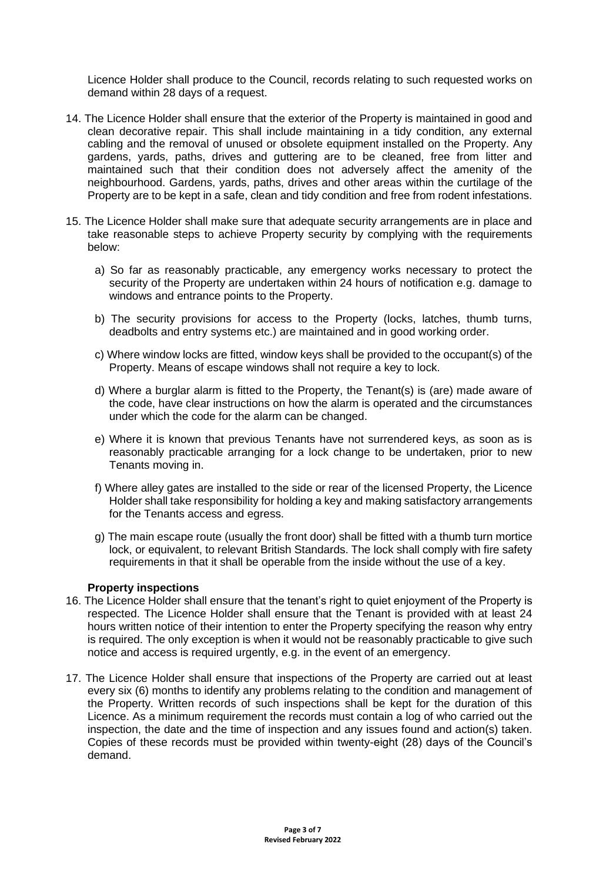Licence Holder shall produce to the Council, records relating to such requested works on demand within 28 days of a request.

- 14. The Licence Holder shall ensure that the exterior of the Property is maintained in good and clean decorative repair. This shall include maintaining in a tidy condition, any external cabling and the removal of unused or obsolete equipment installed on the Property. Any gardens, yards, paths, drives and guttering are to be cleaned, free from litter and maintained such that their condition does not adversely affect the amenity of the neighbourhood. Gardens, yards, paths, drives and other areas within the curtilage of the Property are to be kept in a safe, clean and tidy condition and free from rodent infestations.
- 15. The Licence Holder shall make sure that adequate security arrangements are in place and take reasonable steps to achieve Property security by complying with the requirements below:
	- a) So far as reasonably practicable, any emergency works necessary to protect the security of the Property are undertaken within 24 hours of notification e.g. damage to windows and entrance points to the Property.
	- b) The security provisions for access to the Property (locks, latches, thumb turns, deadbolts and entry systems etc.) are maintained and in good working order.
	- c) Where window locks are fitted, window keys shall be provided to the occupant(s) of the Property. Means of escape windows shall not require a key to lock.
	- d) Where a burglar alarm is fitted to the Property, the Tenant(s) is (are) made aware of the code, have clear instructions on how the alarm is operated and the circumstances under which the code for the alarm can be changed.
	- e) Where it is known that previous Tenants have not surrendered keys, as soon as is reasonably practicable arranging for a lock change to be undertaken, prior to new Tenants moving in.
	- f) Where alley gates are installed to the side or rear of the licensed Property, the Licence Holder shall take responsibility for holding a key and making satisfactory arrangements for the Tenants access and egress.
	- g) The main escape route (usually the front door) shall be fitted with a thumb turn mortice lock, or equivalent, to relevant British Standards. The lock shall comply with fire safety requirements in that it shall be operable from the inside without the use of a key.

#### **Property inspections**

- 16. The Licence Holder shall ensure that the tenant's right to quiet enjoyment of the Property is respected. The Licence Holder shall ensure that the Tenant is provided with at least 24 hours written notice of their intention to enter the Property specifying the reason why entry is required. The only exception is when it would not be reasonably practicable to give such notice and access is required urgently, e.g. in the event of an emergency.
- 17. The Licence Holder shall ensure that inspections of the Property are carried out at least every six (6) months to identify any problems relating to the condition and management of the Property. Written records of such inspections shall be kept for the duration of this Licence. As a minimum requirement the records must contain a log of who carried out the inspection, the date and the time of inspection and any issues found and action(s) taken. Copies of these records must be provided within twenty-eight (28) days of the Council's demand.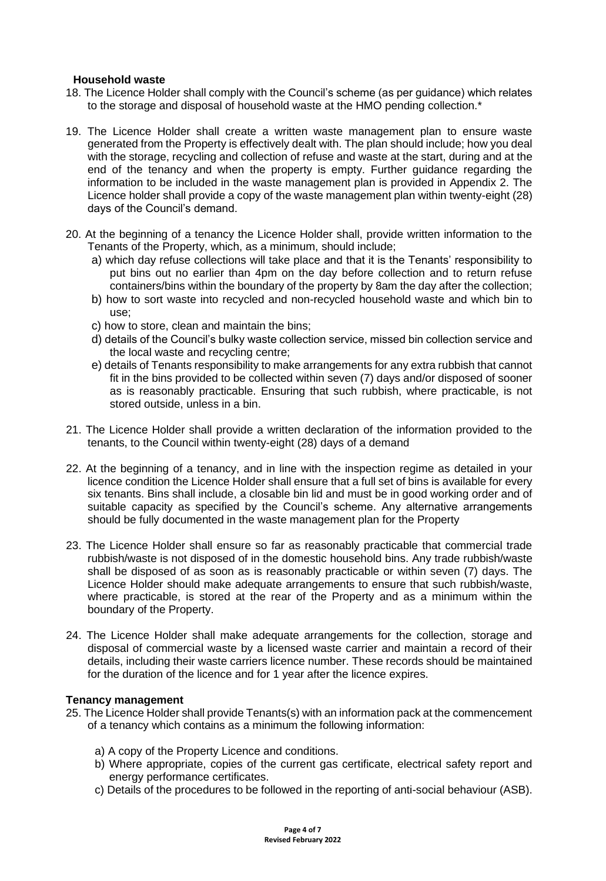### **Household waste**

- 18. The Licence Holder shall comply with the Council's scheme (as per guidance) which relates to the storage and disposal of household waste at the HMO pending collection.\*
- 19. The Licence Holder shall create a written waste management plan to ensure waste generated from the Property is effectively dealt with. The plan should include; how you deal with the storage, recycling and collection of refuse and waste at the start, during and at the end of the tenancy and when the property is empty. Further guidance regarding the information to be included in the waste management plan is provided in Appendix 2. The Licence holder shall provide a copy of the waste management plan within twenty-eight (28) days of the Council's demand.
- 20. At the beginning of a tenancy the Licence Holder shall, provide written information to the Tenants of the Property, which, as a minimum, should include;
	- a) which day refuse collections will take place and that it is the Tenants' responsibility to put bins out no earlier than 4pm on the day before collection and to return refuse containers/bins within the boundary of the property by 8am the day after the collection;
	- b) how to sort waste into recycled and non-recycled household waste and which bin to use;
	- c) how to store, clean and maintain the bins;
	- d) details of the Council's bulky waste collection service, missed bin collection service and the local waste and recycling centre;
	- e) details of Tenants responsibility to make arrangements for any extra rubbish that cannot fit in the bins provided to be collected within seven (7) days and/or disposed of sooner as is reasonably practicable. Ensuring that such rubbish, where practicable, is not stored outside, unless in a bin.
- 21. The Licence Holder shall provide a written declaration of the information provided to the tenants, to the Council within twenty-eight (28) days of a demand
- 22. At the beginning of a tenancy, and in line with the inspection regime as detailed in your licence condition the Licence Holder shall ensure that a full set of bins is available for every six tenants. Bins shall include, a closable bin lid and must be in good working order and of suitable capacity as specified by the Council's scheme. Any alternative arrangements should be fully documented in the waste management plan for the Property
- 23. The Licence Holder shall ensure so far as reasonably practicable that commercial trade rubbish/waste is not disposed of in the domestic household bins. Any trade rubbish/waste shall be disposed of as soon as is reasonably practicable or within seven (7) days. The Licence Holder should make adequate arrangements to ensure that such rubbish/waste, where practicable, is stored at the rear of the Property and as a minimum within the boundary of the Property.
- 24. The Licence Holder shall make adequate arrangements for the collection, storage and disposal of commercial waste by a licensed waste carrier and maintain a record of their details, including their waste carriers licence number. These records should be maintained for the duration of the licence and for 1 year after the licence expires.

#### **Tenancy management**

- 25. The Licence Holder shall provide Tenants(s) with an information pack at the commencement of a tenancy which contains as a minimum the following information:
	- a) A copy of the Property Licence and conditions.
	- b) Where appropriate, copies of the current gas certificate, electrical safety report and energy performance certificates.
	- c) Details of the procedures to be followed in the reporting of anti-social behaviour (ASB).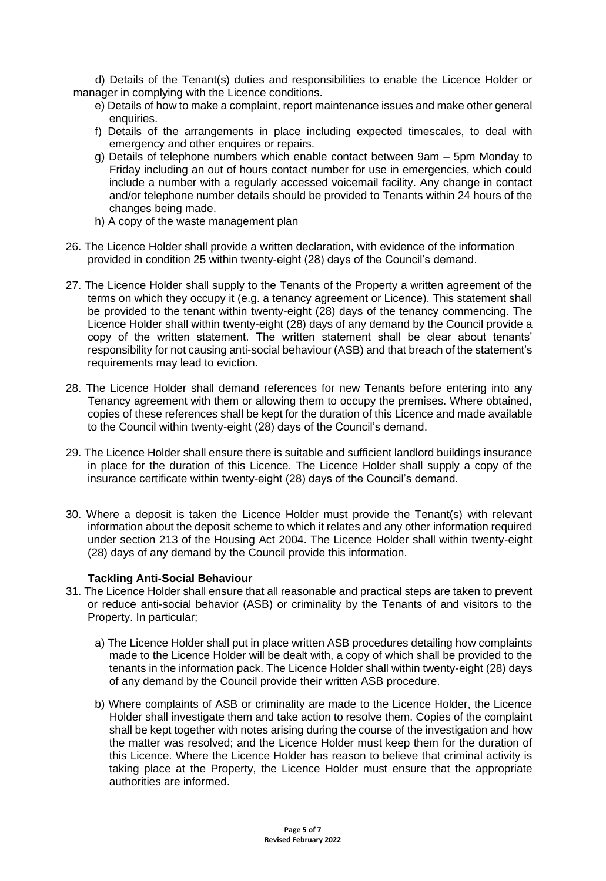d) Details of the Tenant(s) duties and responsibilities to enable the Licence Holder or manager in complying with the Licence conditions.

- e) Details of how to make a complaint, report maintenance issues and make other general enquiries.
- f) Details of the arrangements in place including expected timescales, to deal with emergency and other enquires or repairs.
- g) Details of telephone numbers which enable contact between 9am 5pm Monday to Friday including an out of hours contact number for use in emergencies, which could include a number with a regularly accessed voicemail facility. Any change in contact and/or telephone number details should be provided to Tenants within 24 hours of the changes being made.
- h) A copy of the waste management plan
- 26. The Licence Holder shall provide a written declaration, with evidence of the information provided in condition 25 within twenty-eight (28) days of the Council's demand.
- 27. The Licence Holder shall supply to the Tenants of the Property a written agreement of the terms on which they occupy it (e.g. a tenancy agreement or Licence). This statement shall be provided to the tenant within twenty-eight (28) days of the tenancy commencing. The Licence Holder shall within twenty-eight (28) days of any demand by the Council provide a copy of the written statement. The written statement shall be clear about tenants' responsibility for not causing anti-social behaviour (ASB) and that breach of the statement's requirements may lead to eviction.
- 28. The Licence Holder shall demand references for new Tenants before entering into any Tenancy agreement with them or allowing them to occupy the premises. Where obtained, copies of these references shall be kept for the duration of this Licence and made available to the Council within twenty-eight (28) days of the Council's demand.
- 29. The Licence Holder shall ensure there is suitable and sufficient landlord buildings insurance in place for the duration of this Licence. The Licence Holder shall supply a copy of the insurance certificate within twenty-eight (28) days of the Council's demand.
- 30. Where a deposit is taken the Licence Holder must provide the Tenant(s) with relevant information about the deposit scheme to which it relates and any other information required under section 213 of the Housing Act 2004. The Licence Holder shall within twenty-eight (28) days of any demand by the Council provide this information.

# **Tackling Anti-Social Behaviour**

- 31. The Licence Holder shall ensure that all reasonable and practical steps are taken to prevent or reduce anti-social behavior (ASB) or criminality by the Tenants of and visitors to the Property. In particular;
	- a) The Licence Holder shall put in place written ASB procedures detailing how complaints made to the Licence Holder will be dealt with, a copy of which shall be provided to the tenants in the information pack. The Licence Holder shall within twenty-eight (28) days of any demand by the Council provide their written ASB procedure.
	- b) Where complaints of ASB or criminality are made to the Licence Holder, the Licence Holder shall investigate them and take action to resolve them. Copies of the complaint shall be kept together with notes arising during the course of the investigation and how the matter was resolved; and the Licence Holder must keep them for the duration of this Licence. Where the Licence Holder has reason to believe that criminal activity is taking place at the Property, the Licence Holder must ensure that the appropriate authorities are informed.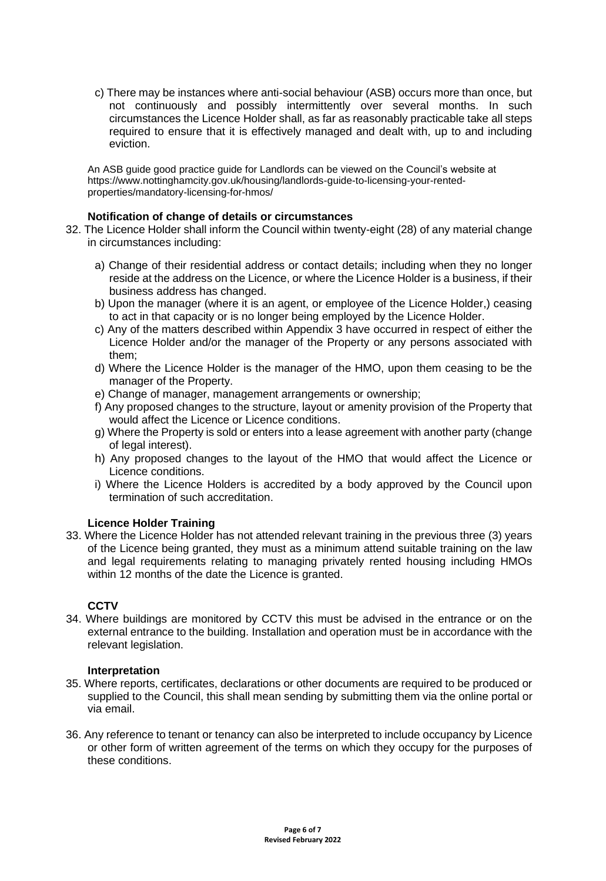c) There may be instances where anti-social behaviour (ASB) occurs more than once, but not continuously and possibly intermittently over several months. In such circumstances the Licence Holder shall, as far as reasonably practicable take all steps required to ensure that it is effectively managed and dealt with, up to and including eviction.

An ASB guide good practice guide for Landlords can be viewed on the Council's website at https://www.nottinghamcity.gov.uk/housing/landlords-guide-to-licensing-your-rentedproperties/mandatory-licensing-for-hmos/

## **Notification of change of details or circumstances**

- 32. The Licence Holder shall inform the Council within twenty-eight (28) of any material change in circumstances including:
	- a) Change of their residential address or contact details; including when they no longer reside at the address on the Licence, or where the Licence Holder is a business, if their business address has changed.
	- b) Upon the manager (where it is an agent, or employee of the Licence Holder,) ceasing to act in that capacity or is no longer being employed by the Licence Holder.
	- c) Any of the matters described within Appendix 3 have occurred in respect of either the Licence Holder and/or the manager of the Property or any persons associated with them;
	- d) Where the Licence Holder is the manager of the HMO, upon them ceasing to be the manager of the Property.
	- e) Change of manager, management arrangements or ownership;
	- f) Any proposed changes to the structure, layout or amenity provision of the Property that would affect the Licence or Licence conditions.
	- g) Where the Property is sold or enters into a lease agreement with another party (change of legal interest).
	- h) Any proposed changes to the layout of the HMO that would affect the Licence or Licence conditions.
	- i) Where the Licence Holders is accredited by a body approved by the Council upon termination of such accreditation.

# **Licence Holder Training**

33. Where the Licence Holder has not attended relevant training in the previous three (3) years of the Licence being granted, they must as a minimum attend suitable training on the law and legal requirements relating to managing privately rented housing including HMOs within 12 months of the date the Licence is granted.

# **CCTV**

34. Where buildings are monitored by CCTV this must be advised in the entrance or on the external entrance to the building. Installation and operation must be in accordance with the relevant legislation.

#### **Interpretation**

- 35. Where reports, certificates, declarations or other documents are required to be produced or supplied to the Council, this shall mean sending by submitting them via the online portal or via email.
- 36. Any reference to tenant or tenancy can also be interpreted to include occupancy by Licence or other form of written agreement of the terms on which they occupy for the purposes of these conditions.